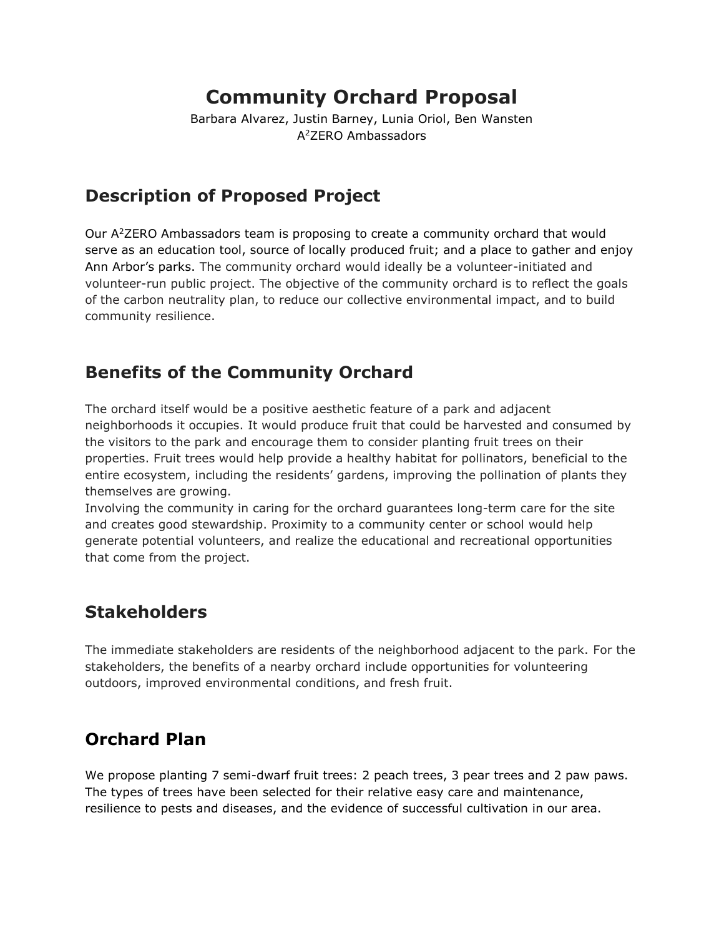# **Community Orchard Proposal**

Barbara Alvarez, Justin Barney, Lunia Oriol, Ben Wansten A <sup>2</sup>ZERO Ambassadors

## **Description of Proposed Project**

Our A <sup>2</sup>ZERO Ambassadors team is proposing to create a community orchard that would serve as an education tool, source of locally produced fruit; and a place to gather and enjoy Ann Arbor's parks. The community orchard would ideally be a volunteer-initiated and volunteer-run public project. The objective of the community orchard is to reflect the goals of the carbon neutrality plan, to reduce our collective environmental impact, and to build community resilience.

### **Benefits of the Community Orchard**

The orchard itself would be a positive aesthetic feature of a park and adjacent neighborhoods it occupies. It would produce fruit that could be harvested and consumed by the visitors to the park and encourage them to consider planting fruit trees on their properties. Fruit trees would help provide a healthy habitat for pollinators, beneficial to the entire ecosystem, including the residents' gardens, improving the pollination of plants they themselves are growing.

Involving the community in caring for the orchard guarantees long-term care for the site and creates good stewardship. Proximity to a community center or school would help generate potential volunteers, and realize the educational and recreational opportunities that come from the project.

#### **Stakeholders**

The immediate stakeholders are residents of the neighborhood adjacent to the park. For the stakeholders, the benefits of a nearby orchard include opportunities for volunteering outdoors, improved environmental conditions, and fresh fruit.

## **Orchard Plan**

We propose planting 7 semi-dwarf fruit trees: 2 peach trees, 3 pear trees and 2 paw paws. The types of trees have been selected for their relative easy care and maintenance, resilience to pests and diseases, and the evidence of successful cultivation in our area.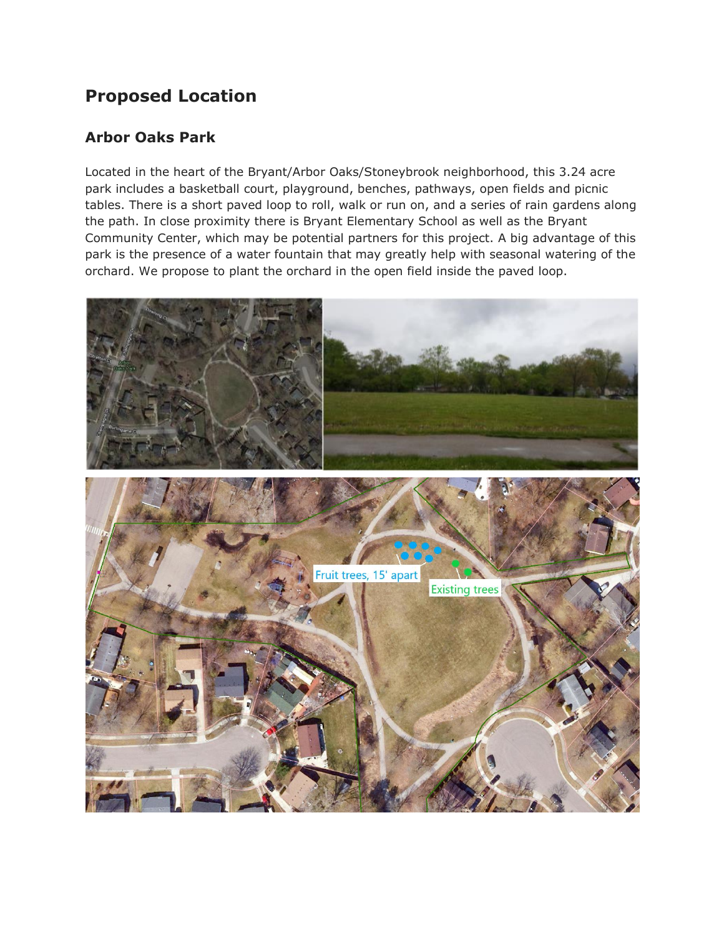### **Proposed Location**

#### **Arbor Oaks Park**

Located in the heart of the Bryant/Arbor Oaks/Stoneybrook neighborhood, this 3.24 acre park includes a basketball court, playground, benches, pathways, open fields and picnic tables. There is a short paved loop to roll, walk or run on, and a series of rain gardens along the path. In close proximity there is Bryant Elementary School as well as the Bryant Community Center, which may be potential partners for this project. A big advantage of this park is the presence of a water fountain that may greatly help with seasonal watering of the orchard. We propose to plant the orchard in the open field inside the paved loop.